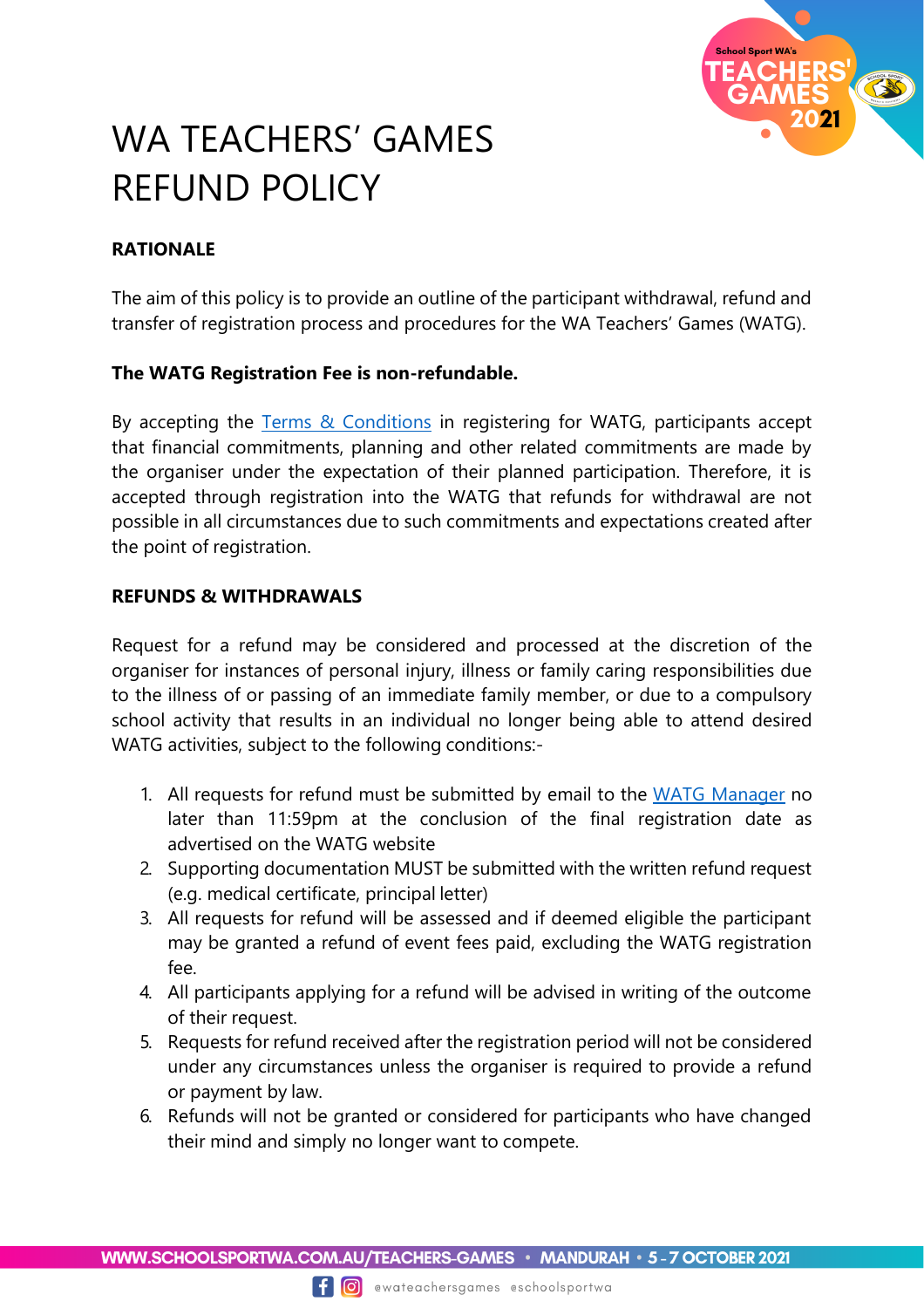

# WA TEACHERS' GAMES REFUND POLICY

## **RATIONALE**

The aim of this policy is to provide an outline of the participant withdrawal, refund and transfer of registration process and procedures for the WA Teachers' Games (WATG).

### **The WATG Registration Fee is non-refundable.**

By accepting the [Terms & Conditions](https://www.schoolsportwa.com.au/wp-content/uploads/2021/02/Terms-and-Conditions.pdf) in registering for WATG, participants accept that financial commitments, planning and other related commitments are made by the organiser under the expectation of their planned participation. Therefore, it is accepted through registration into the WATG that refunds for withdrawal are not possible in all circumstances due to such commitments and expectations created after the point of registration.

#### **REFUNDS & WITHDRAWALS**

Request for a refund may be considered and processed at the discretion of the organiser for instances of personal injury, illness or family caring responsibilities due to the illness of or passing of an immediate family member, or due to a compulsory school activity that results in an individual no longer being able to attend desired WATG activities, subject to the following conditions:-

- 1. All requests for refund must be submitted by email to the [WATG Manager](mailto:robyn.brierley@education.wa.edu.au) no later than 11:59pm at the conclusion of the final registration date as advertised on the WATG website
- 2. Supporting documentation MUST be submitted with the written refund request (e.g. medical certificate, principal letter)
- 3. All requests for refund will be assessed and if deemed eligible the participant may be granted a refund of event fees paid, excluding the WATG registration fee.
- 4. All participants applying for a refund will be advised in writing of the outcome of their request.
- 5. Requests for refund received after the registration period will not be considered under any circumstances unless the organiser is required to provide a refund or payment by law.
- 6. Refunds will not be granted or considered for participants who have changed their mind and simply no longer want to compete.